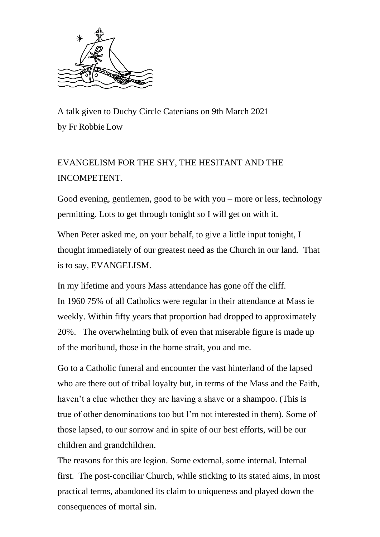

A talk given to Duchy Circle Catenians on 9th March 2021 by Fr Robbie Low

## EVANGELISM FOR THE SHY, THE HESITANT AND THE INCOMPETENT.

Good evening, gentlemen, good to be with you – more or less, technology permitting. Lots to get through tonight so I will get on with it.

When Peter asked me, on your behalf, to give a little input tonight, I thought immediately of our greatest need as the Church in our land. That is to say, EVANGELISM.

In my lifetime and yours Mass attendance has gone off the cliff. In 1960 75% of all Catholics were regular in their attendance at Mass ie weekly. Within fifty years that proportion had dropped to approximately 20%. The overwhelming bulk of even that miserable figure is made up of the moribund, those in the home strait, you and me.

Go to a Catholic funeral and encounter the vast hinterland of the lapsed who are there out of tribal loyalty but, in terms of the Mass and the Faith, haven't a clue whether they are having a shave or a shampoo. (This is true of other denominations too but I'm not interested in them). Some of those lapsed, to our sorrow and in spite of our best efforts, will be our children and grandchildren.

The reasons for this are legion. Some external, some internal. Internal first. The post-conciliar Church, while sticking to its stated aims, in most practical terms, abandoned its claim to uniqueness and played down the consequences of mortal sin.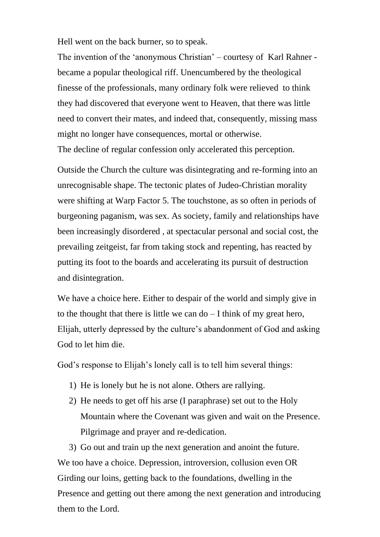Hell went on the back burner, so to speak.

The invention of the 'anonymous Christian' – courtesy of Karl Rahner became a popular theological riff. Unencumbered by the theological finesse of the professionals, many ordinary folk were relieved to think they had discovered that everyone went to Heaven, that there was little need to convert their mates, and indeed that, consequently, missing mass might no longer have consequences, mortal or otherwise.

The decline of regular confession only accelerated this perception.

Outside the Church the culture was disintegrating and re-forming into an unrecognisable shape. The tectonic plates of Judeo-Christian morality were shifting at Warp Factor 5. The touchstone, as so often in periods of burgeoning paganism, was sex. As society, family and relationships have been increasingly disordered , at spectacular personal and social cost, the prevailing zeitgeist, far from taking stock and repenting, has reacted by putting its foot to the boards and accelerating its pursuit of destruction and disintegration.

We have a choice here. Either to despair of the world and simply give in to the thought that there is little we can  $d\sigma - I$  think of my great hero, Elijah, utterly depressed by the culture's abandonment of God and asking God to let him die.

God's response to Elijah's lonely call is to tell him several things:

- 1) He is lonely but he is not alone. Others are rallying.
- 2) He needs to get off his arse (I paraphrase) set out to the Holy Mountain where the Covenant was given and wait on the Presence. Pilgrimage and prayer and re-dedication.

3) Go out and train up the next generation and anoint the future. We too have a choice. Depression, introversion, collusion even OR Girding our loins, getting back to the foundations, dwelling in the Presence and getting out there among the next generation and introducing them to the Lord.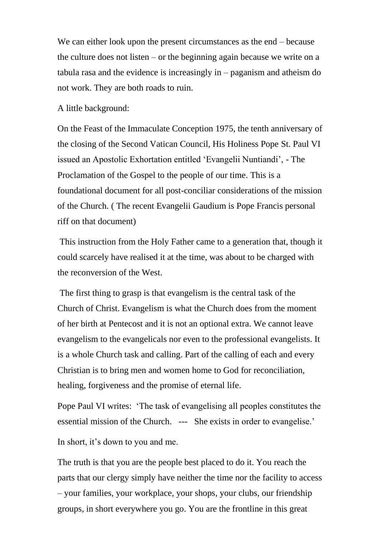We can either look upon the present circumstances as the end – because the culture does not listen – or the beginning again because we write on a tabula rasa and the evidence is increasingly in – paganism and atheism do not work. They are both roads to ruin.

A little background:

On the Feast of the Immaculate Conception 1975, the tenth anniversary of the closing of the Second Vatican Council, His Holiness Pope St. Paul VI issued an Apostolic Exhortation entitled 'Evangelii Nuntiandi', - The Proclamation of the Gospel to the people of our time. This is a foundational document for all post-conciliar considerations of the mission of the Church. ( The recent Evangelii Gaudium is Pope Francis personal riff on that document)

This instruction from the Holy Father came to a generation that, though it could scarcely have realised it at the time, was about to be charged with the reconversion of the West.

The first thing to grasp is that evangelism is the central task of the Church of Christ. Evangelism is what the Church does from the moment of her birth at Pentecost and it is not an optional extra. We cannot leave evangelism to the evangelicals nor even to the professional evangelists. It is a whole Church task and calling. Part of the calling of each and every Christian is to bring men and women home to God for reconciliation, healing, forgiveness and the promise of eternal life.

Pope Paul VI writes: 'The task of evangelising all peoples constitutes the essential mission of the Church. --- She exists in order to evangelise.'

In short, it's down to you and me.

The truth is that you are the people best placed to do it. You reach the parts that our clergy simply have neither the time nor the facility to access – your families, your workplace, your shops, your clubs, our friendship groups, in short everywhere you go. You are the frontline in this great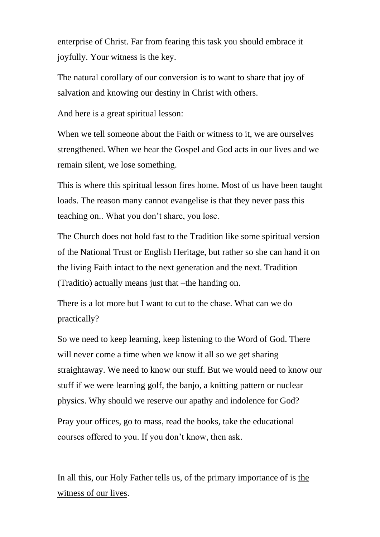enterprise of Christ. Far from fearing this task you should embrace it joyfully. Your witness is the key.

The natural corollary of our conversion is to want to share that joy of salvation and knowing our destiny in Christ with others.

And here is a great spiritual lesson:

When we tell someone about the Faith or witness to it, we are ourselves strengthened. When we hear the Gospel and God acts in our lives and we remain silent, we lose something.

This is where this spiritual lesson fires home. Most of us have been taught loads. The reason many cannot evangelise is that they never pass this teaching on.. What you don't share, you lose.

The Church does not hold fast to the Tradition like some spiritual version of the National Trust or English Heritage, but rather so she can hand it on the living Faith intact to the next generation and the next. Tradition (Traditio) actually means just that –the handing on.

There is a lot more but I want to cut to the chase. What can we do practically?

So we need to keep learning, keep listening to the Word of God. There will never come a time when we know it all so we get sharing straightaway. We need to know our stuff. But we would need to know our stuff if we were learning golf, the banjo, a knitting pattern or nuclear physics. Why should we reserve our apathy and indolence for God?

Pray your offices, go to mass, read the books, take the educational courses offered to you. If you don't know, then ask.

In all this, our Holy Father tells us, of the primary importance of is the witness of our lives.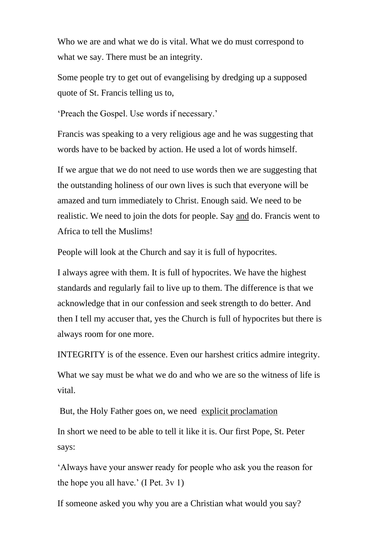Who we are and what we do is vital. What we do must correspond to what we say. There must be an integrity.

Some people try to get out of evangelising by dredging up a supposed quote of St. Francis telling us to,

'Preach the Gospel. Use words if necessary.'

Francis was speaking to a very religious age and he was suggesting that words have to be backed by action. He used a lot of words himself.

If we argue that we do not need to use words then we are suggesting that the outstanding holiness of our own lives is such that everyone will be amazed and turn immediately to Christ. Enough said. We need to be realistic. We need to join the dots for people. Say and do. Francis went to Africa to tell the Muslims!

People will look at the Church and say it is full of hypocrites.

I always agree with them. It is full of hypocrites. We have the highest standards and regularly fail to live up to them. The difference is that we acknowledge that in our confession and seek strength to do better. And then I tell my accuser that, yes the Church is full of hypocrites but there is always room for one more.

INTEGRITY is of the essence. Even our harshest critics admire integrity.

What we say must be what we do and who we are so the witness of life is vital.

But, the Holy Father goes on, we need explicit proclamation In short we need to be able to tell it like it is. Our first Pope, St. Peter says:

'Always have your answer ready for people who ask you the reason for the hope you all have.' (I Pet. 3v 1)

If someone asked you why you are a Christian what would you say?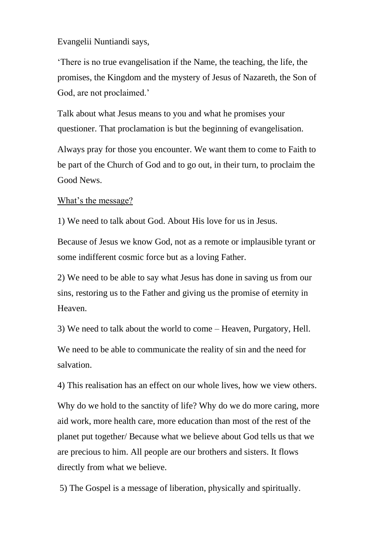Evangelii Nuntiandi says,

'There is no true evangelisation if the Name, the teaching, the life, the promises, the Kingdom and the mystery of Jesus of Nazareth, the Son of God, are not proclaimed.'

Talk about what Jesus means to you and what he promises your questioner. That proclamation is but the beginning of evangelisation.

Always pray for those you encounter. We want them to come to Faith to be part of the Church of God and to go out, in their turn, to proclaim the Good News.

## What's the message?

1) We need to talk about God. About His love for us in Jesus.

Because of Jesus we know God, not as a remote or implausible tyrant or some indifferent cosmic force but as a loving Father.

2) We need to be able to say what Jesus has done in saving us from our sins, restoring us to the Father and giving us the promise of eternity in Heaven.

3) We need to talk about the world to come – Heaven, Purgatory, Hell.

We need to be able to communicate the reality of sin and the need for salvation.

4) This realisation has an effect on our whole lives, how we view others.

Why do we hold to the sanctity of life? Why do we do more caring, more aid work, more health care, more education than most of the rest of the planet put together/ Because what we believe about God tells us that we are precious to him. All people are our brothers and sisters. It flows directly from what we believe.

5) The Gospel is a message of liberation, physically and spiritually.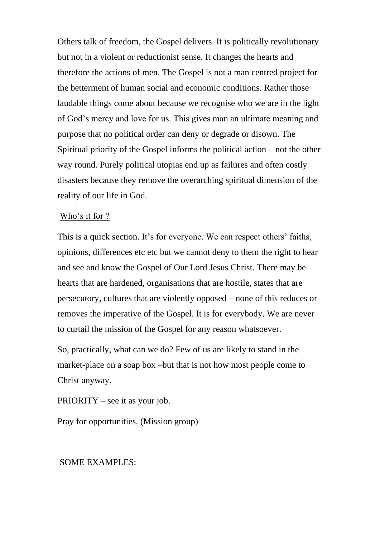Others talk of freedom, the Gospel delivers. It is politically revolutionary but not in a violent or reductionist sense. It changes the hearts and therefore the actions of men. The Gospel is not a man centred project for the betterment of human social and economic conditions. Rather those laudable things come about because we recognise who we are in the light of God's mercy and love for us. This gives man an ultimate meaning and purpose that no political order can deny or degrade or disown. The Spiritual priority of the Gospel informs the political action – not the other way round. Purely political utopias end up as failures and often costly disasters because they remove the overarching spiritual dimension of the reality of our life in God.

## Who's it for ?

This is a quick section. It's for everyone. We can respect others' faiths, opinions, differences etc etc but we cannot deny to them the right to hear and see and know the Gospel of Our Lord Jesus Christ. There may be hearts that are hardened, organisations that are hostile, states that are persecutory, cultures that are violently opposed – none of this reduces or removes the imperative of the Gospel. It is for everybody. We are never to curtail the mission of the Gospel for any reason whatsoever.

So, practically, what can we do? Few of us are likely to stand in the market-place on a soap box –but that is not how most people come to Christ anyway.

PRIORITY – see it as your job.

Pray for opportunities. (Mission group)

## SOME EXAMPLES: